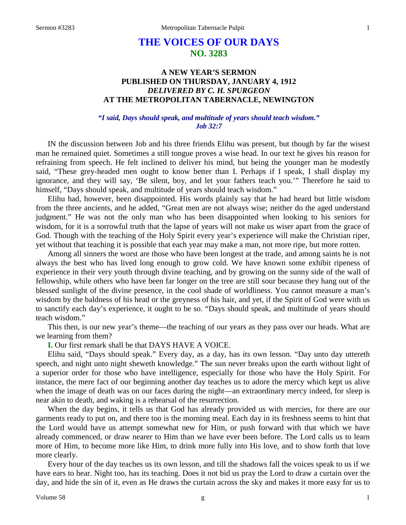# **THE VOICES OF OUR DAYS NO. 3283**

## **A NEW YEAR'S SERMON PUBLISHED ON THURSDAY, JANUARY 4, 1912** *DELIVERED BY C. H. SPURGEON* **AT THE METROPOLITAN TABERNACLE, NEWINGTON**

## *"I said, Days should speak, and multitude of years should teach wisdom." Job 32:7*

IN the discussion between Job and his three friends Elihu was present, but though by far the wisest man he remained quiet. Sometimes a still tongue proves a wise head. In our text he gives his reason for refraining from speech. He felt inclined to deliver his mind, but being the younger man he modestly said, "These grey-headed men ought to know better than I. Perhaps if I speak, I shall display my ignorance, and they will say, 'Be silent, boy, and let your fathers teach you.'" Therefore he said to himself, "Days should speak, and multitude of years should teach wisdom."

Elihu had, however, been disappointed. His words plainly say that he had heard but little wisdom from the three ancients, and he added, "Great men are not always wise; neither do the aged understand judgment." He was not the only man who has been disappointed when looking to his seniors for wisdom, for it is a sorrowful truth that the lapse of years will not make us wiser apart from the grace of God. Though with the teaching of the Holy Spirit every year's experience will make the Christian riper, yet without that teaching it is possible that each year may make a man, not more ripe, but more rotten.

Among all sinners the worst are those who have been longest at the trade, and among saints he is not always the best who has lived long enough to grow cold. We have known some exhibit ripeness of experience in their very youth through divine teaching, and by growing on the sunny side of the wall of fellowship, while others who have been far longer on the tree are still sour because they hang out of the blessed sunlight of the divine presence, in the cool shade of worldliness. You cannot measure a man's wisdom by the baldness of his head or the greyness of his hair, and yet, if the Spirit of God were with us to sanctify each day's experience, it ought to be so. "Days should speak, and multitude of years should teach wisdom."

This then, is our new year's theme—the teaching of our years as they pass over our heads. What are we learning from them?

**I.** Our first remark shall be that DAYS HAVE A VOICE.

Elihu said, "Days should speak." Every day, as a day, has its own lesson. "Day unto day uttereth speech, and night unto night sheweth knowledge." The sun never breaks upon the earth without light of a superior order for those who have intelligence, especially for those who have the Holy Spirit. For instance, the mere fact of our beginning another day teaches us to adore the mercy which kept us alive when the image of death was on our faces during the night—an extraordinary mercy indeed, for sleep is near akin to death, and waking is a rehearsal of the resurrection.

When the day begins, it tells us that God has already provided us with mercies, for there are our garments ready to put on, and there too is the morning meal. Each day in its freshness seems to hint that the Lord would have us attempt somewhat new for Him, or push forward with that which we have already commenced, or draw nearer to Him than we have ever been before. The Lord calls us to learn more of Him, to become more like Him, to drink more fully into His love, and to show forth that love more clearly.

Every hour of the day teaches us its own lesson, and till the shadows fall the voices speak to us if we have ears to hear. Night too, has its teaching. Does it not bid us pray the Lord to draw a curtain over the day, and hide the sin of it, even as He draws the curtain across the sky and makes it more easy for us to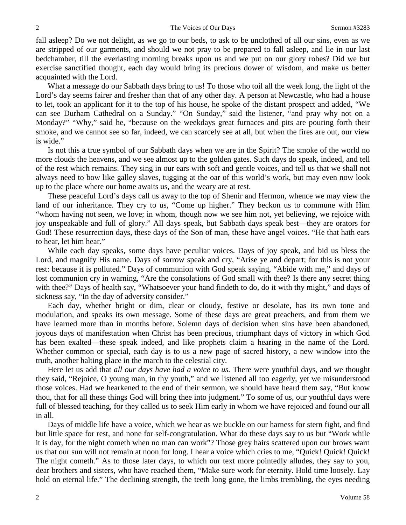fall asleep? Do we not delight, as we go to our beds, to ask to be unclothed of all our sins, even as we are stripped of our garments, and should we not pray to be prepared to fall asleep, and lie in our last bedchamber, till the everlasting morning breaks upon us and we put on our glory robes? Did we but exercise sanctified thought, each day would bring its precious dower of wisdom, and make us better acquainted with the Lord.

What a message do our Sabbath days bring to us! To those who toil all the week long, the light of the Lord's day seems fairer and fresher than that of any other day. A person at Newcastle, who had a house to let, took an applicant for it to the top of his house, he spoke of the distant prospect and added, "We can see Durham Cathedral on a Sunday." "On Sunday," said the listener, "and pray why not on a Monday?" "Why," said he, "because on the weekdays great furnaces and pits are pouring forth their smoke, and we cannot see so far, indeed, we can scarcely see at all, but when the fires are out, our view is wide."

Is not this a true symbol of our Sabbath days when we are in the Spirit? The smoke of the world no more clouds the heavens, and we see almost up to the golden gates. Such days do speak, indeed, and tell of the rest which remains. They sing in our ears with soft and gentle voices, and tell us that we shall not always need to bow like galley slaves, tugging at the oar of this world's work, but may even now look up to the place where our home awaits us, and the weary are at rest.

These peaceful Lord's days call us away to the top of Shenir and Hermon, whence we may view the land of our inheritance. They cry to us, "Come up higher." They beckon us to commune with Him "whom having not seen, we love; in whom, though now we see him not, yet believing, we rejoice with joy unspeakable and full of glory." All days speak, but Sabbath days speak best—they are orators for God! These resurrection days, these days of the Son of man, these have angel voices. "He that hath ears to hear, let him hear."

While each day speaks, some days have peculiar voices. Days of joy speak, and bid us bless the Lord, and magnify His name. Days of sorrow speak and cry, "Arise ye and depart; for this is not your rest: because it is polluted." Days of communion with God speak saying, "Abide with me," and days of lost communion cry in warning, "Are the consolations of God small with thee? Is there any secret thing with thee?" Days of health say, "Whatsoever your hand findeth to do, do it with thy might," and days of sickness say, "In the day of adversity consider."

Each day, whether bright or dim, clear or cloudy, festive or desolate, has its own tone and modulation, and speaks its own message. Some of these days are great preachers, and from them we have learned more than in months before. Solemn days of decision when sins have been abandoned, joyous days of manifestation when Christ has been precious, triumphant days of victory in which God has been exalted—these speak indeed, and like prophets claim a hearing in the name of the Lord. Whether common or special, each day is to us a new page of sacred history, a new window into the truth, another halting place in the march to the celestial city.

Here let us add that *all our days have had a voice to us.* There were youthful days, and we thought they said, "Rejoice, O young man, in thy youth," and we listened all too eagerly, yet we misunderstood those voices. Had we hearkened to the end of their sermon, we should have heard them say, "But know thou, that for all these things God will bring thee into judgment." To some of us, our youthful days were full of blessed teaching, for they called us to seek Him early in whom we have rejoiced and found our all in all.

Days of middle life have a voice, which we hear as we buckle on our harness for stern fight, and find but little space for rest, and none for self-congratulation. What do these days say to us but "Work while it is day, for the night cometh when no man can work"? Those grey hairs scattered upon our brows warn us that our sun will not remain at noon for long. I hear a voice which cries to me, "Quick! Quick! Quick! The night cometh." As to those later days, to which our text more pointedly alludes, they say to you, dear brothers and sisters, who have reached them, "Make sure work for eternity. Hold time loosely. Lay hold on eternal life." The declining strength, the teeth long gone, the limbs trembling, the eyes needing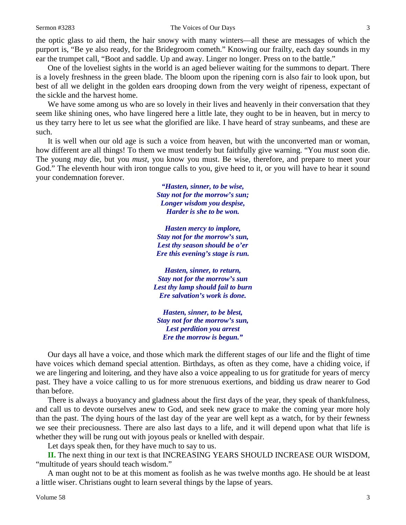the optic glass to aid them, the hair snowy with many winters—all these are messages of which the purport is, "Be ye also ready, for the Bridegroom cometh." Knowing our frailty, each day sounds in my ear the trumpet call, "Boot and saddle. Up and away. Linger no longer. Press on to the battle."

One of the loveliest sights in the world is an aged believer waiting for the summons to depart. There is a lovely freshness in the green blade. The bloom upon the ripening corn is also fair to look upon, but best of all we delight in the golden ears drooping down from the very weight of ripeness, expectant of the sickle and the harvest home.

We have some among us who are so lovely in their lives and heavenly in their conversation that they seem like shining ones, who have lingered here a little late, they ought to be in heaven, but in mercy to us they tarry here to let us see what the glorified are like. I have heard of stray sunbeams, and these are such.

It is well when our old age is such a voice from heaven, but with the unconverted man or woman, how different are all things! To them we must tenderly but faithfully give warning. "You *must* soon die. The young *may* die, but you *must,* you know you must. Be wise, therefore, and prepare to meet your God." The eleventh hour with iron tongue calls to you, give heed to it, or you will have to hear it sound your condemnation forever.

> *"Hasten, sinner, to be wise, Stay not for the morrow's sun; Longer wisdom you despise, Harder is she to be won.*

*Hasten mercy to implore, Stay not for the morrow's sun, Lest thy season should be o'er Ere this evening's stage is run.*

*Hasten, sinner, to return, Stay not for the morrow's sun Lest thy lamp should fail to burn Ere salvation's work is done.*

*Hasten, sinner, to be blest, Stay not for the morrow's sun, Lest perdition you arrest Ere the morrow is begun."*

Our days all have a voice, and those which mark the different stages of our life and the flight of time have voices which demand special attention. Birthdays, as often as they come, have a chiding voice, if we are lingering and loitering, and they have also a voice appealing to us for gratitude for years of mercy past. They have a voice calling to us for more strenuous exertions, and bidding us draw nearer to God than before.

There is always a buoyancy and gladness about the first days of the year, they speak of thankfulness, and call us to devote ourselves anew to God, and seek new grace to make the coming year more holy than the past. The dying hours of the last day of the year are well kept as a watch, for by their fewness we see their preciousness. There are also last days to a life, and it will depend upon what that life is whether they will be rung out with joyous peals or knelled with despair.

Let days speak then, for they have much to say to us.

**II.** The next thing in our text is that INCREASING YEARS SHOULD INCREASE OUR WISDOM, "multitude of years should teach wisdom."

A man ought not to be at this moment as foolish as he was twelve months ago. He should be at least a little wiser. Christians ought to learn several things by the lapse of years.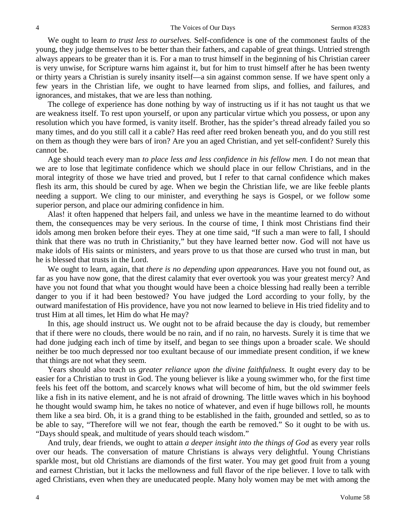We ought to learn *to trust less to ourselves.* Self-confidence is one of the commonest faults of the young, they judge themselves to be better than their fathers, and capable of great things. Untried strength always appears to be greater than it is. For a man to trust himself in the beginning of his Christian career is very unwise, for Scripture warns him against it, but for him to trust himself after he has been twenty or thirty years a Christian is surely insanity itself—a sin against common sense. If we have spent only a few years in the Christian life, we ought to have learned from slips, and follies, and failures, and ignorances, and mistakes, that we are less than nothing.

The college of experience has done nothing by way of instructing us if it has not taught us that we are weakness itself. To rest upon yourself, or upon any particular virtue which you possess, or upon any resolution which you have formed, is vanity itself. Brother, has the spider's thread already failed you so many times, and do you still call it a cable? Has reed after reed broken beneath you, and do you still rest on them as though they were bars of iron? Are you an aged Christian, and yet self-confident? Surely this cannot be.

Age should teach every man *to place less and less confidence in his fellow men.* I do not mean that we are to lose that legitimate confidence which we should place in our fellow Christians, and in the moral integrity of those we have tried and proved, but I refer to that carnal confidence which makes flesh its arm, this should be cured by age. When we begin the Christian life, we are like feeble plants needing a support. We cling to our minister, and everything he says is Gospel, or we follow some superior person, and place our admiring confidence in him.

Alas! it often happened that helpers fail, and unless we have in the meantime learned to do without them, the consequences may be very serious. In the course of time, I think most Christians find their idols among men broken before their eyes. They at one time said, "If such a man were to fall, I should think that there was no truth in Christianity," but they have learned better now. God will not have us make idols of His saints or ministers, and years prove to us that those are cursed who trust in man, but he is blessed that trusts in the Lord.

We ought to learn, again, that *there is no depending upon appearances*. Have you not found out, as far as you have now gone, that the direst calamity that ever overtook you was your greatest mercy? And have you not found that what you thought would have been a choice blessing had really been a terrible danger to you if it had been bestowed? You have judged the Lord according to your folly, by the outward manifestation of His providence, have you not now learned to believe in His tried fidelity and to trust Him at all times, let Him do what He may?

In this, age should instruct us. We ought not to be afraid because the day is cloudy, but remember that if there were no clouds, there would be no rain, and if no rain, no harvests. Surely it is time that we had done judging each inch of time by itself, and began to see things upon a broader scale. We should neither be too much depressed nor too exultant because of our immediate present condition, if we knew that things are not what they seem.

Years should also teach us *greater reliance upon the divine faithfulness.* It ought every day to be easier for a Christian to trust in God. The young believer is like a young swimmer who, for the first time feels his feet off the bottom, and scarcely knows what will become of him, but the old swimmer feels like a fish in its native element, and he is not afraid of drowning. The little waves which in his boyhood he thought would swamp him, he takes no notice of whatever, and even if huge billows roll, he mounts them like a sea bird. Oh, it is a grand thing to be established in the faith, grounded and settled, so as to be able to say, "Therefore will we not fear, though the earth be removed." So it ought to be with us. "Days should speak, and multitude of years should teach wisdom."

And truly, dear friends, we ought to attain *a deeper insight into the things of God* as every year rolls over our heads. The conversation of mature Christians is always very delightful. Young Christians sparkle most, but old Christians are diamonds of the first water. You may get good fruit from a young and earnest Christian, but it lacks the mellowness and full flavor of the ripe believer. I love to talk with aged Christians, even when they are uneducated people. Many holy women may be met with among the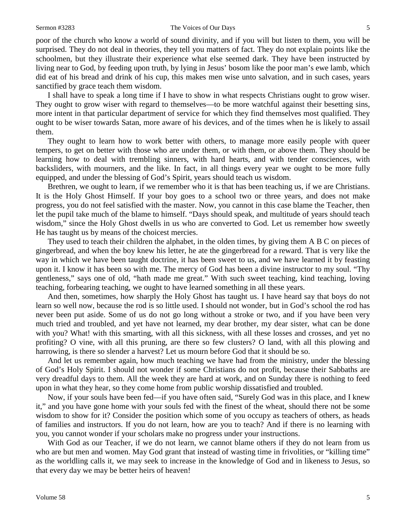#### Sermon #3283 The Voices of Our Days 5

poor of the church who know a world of sound divinity, and if you will but listen to them, you will be surprised. They do not deal in theories, they tell you matters of fact. They do not explain points like the schoolmen, but they illustrate their experience what else seemed dark. They have been instructed by living near to God, by feeding upon truth, by lying in Jesus' bosom like the poor man's ewe lamb, which did eat of his bread and drink of his cup, this makes men wise unto salvation, and in such cases, years sanctified by grace teach them wisdom.

I shall have to speak a long time if I have to show in what respects Christians ought to grow wiser. They ought to grow wiser with regard to themselves—to be more watchful against their besetting sins, more intent in that particular department of service for which they find themselves most qualified. They ought to be wiser towards Satan, more aware of his devices, and of the times when he is likely to assail them.

They ought to learn how to work better with others, to manage more easily people with queer tempers, to get on better with those who are under them, or with them, or above them. They should be learning how to deal with trembling sinners, with hard hearts, and with tender consciences, with backsliders, with mourners, and the like. In fact, in all things every year we ought to be more fully equipped, and under the blessing of God's Spirit, years should teach us wisdom.

Brethren, we ought to learn, if we remember who it is that has been teaching us, if we are Christians. It is the Holy Ghost Himself. If your boy goes to a school two or three years, and does not make progress, you do not feel satisfied with the master. Now, you cannot in this case blame the Teacher, then let the pupil take much of the blame to himself. "Days should speak, and multitude of years should teach wisdom," since the Holy Ghost dwells in us who are converted to God. Let us remember how sweetly He has taught us by means of the choicest mercies.

They used to teach their children the alphabet, in the olden times, by giving them A B C on pieces of gingerbread, and when the boy knew his letter, he ate the gingerbread for a reward. That is very like the way in which we have been taught doctrine, it has been sweet to us, and we have learned it by feasting upon it. I know it has been so with me. The mercy of God has been a divine instructor to my soul. "Thy gentleness," says one of old, "hath made me great." With such sweet teaching, kind teaching, loving teaching, forbearing teaching, we ought to have learned something in all these years.

And then, sometimes, how sharply the Holy Ghost has taught us. I have heard say that boys do not learn so well now, because the rod is so little used. I should not wonder, but in God's school the rod has never been put aside. Some of us do not go long without a stroke or two, and if you have been very much tried and troubled, and yet have not learned, my dear brother, my dear sister, what can be done with you? What! with this smarting, with all this sickness, with all these losses and crosses, and yet no profiting? O vine, with all this pruning, are there so few clusters? O land, with all this plowing and harrowing, is there so slender a harvest? Let us mourn before God that it should be so.

And let us remember again, how much teaching we have had from the ministry, under the blessing of God's Holy Spirit. I should not wonder if some Christians do not profit, because their Sabbaths are very dreadful days to them. All the week they are hard at work, and on Sunday there is nothing to feed upon in what they hear, so they come home from public worship dissatisfied and troubled.

Now, if your souls have been fed—if you have often said, "Surely God was in this place, and I knew it," and you have gone home with your souls fed with the finest of the wheat, should there not be some wisdom to show for it? Consider the position which some of you occupy as teachers of others, as heads of families and instructors. If you do not learn, how are you to teach? And if there is no learning with you, you cannot wonder if your scholars make no progress under your instructions.

With God as our Teacher, if we do not learn, we cannot blame others if they do not learn from us who are but men and women. May God grant that instead of wasting time in frivolities, or "killing time" as the worldling calls it, we may seek to increase in the knowledge of God and in likeness to Jesus, so that every day we may be better heirs of heaven!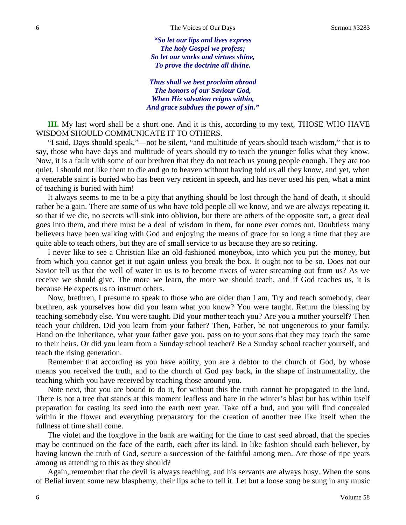*"So let our lips and lives express The holy Gospel we profess; So let our works and virtues shine, To prove the doctrine all divine.*

*Thus shall we best proclaim abroad The honors of our Saviour God, When His salvation reigns within, And grace subdues the power of sin."*

**III.** My last word shall be a short one. And it is this, according to my text, THOSE WHO HAVE WISDOM SHOULD COMMUNICATE IT TO OTHERS.

"I said, Days should speak,"—not be silent, "and multitude of years should teach wisdom," that is to say, those who have days and multitude of years should try to teach the younger folks what they know. Now, it is a fault with some of our brethren that they do not teach us young people enough. They are too quiet. I should not like them to die and go to heaven without having told us all they know, and yet, when a venerable saint is buried who has been very reticent in speech, and has never used his pen, what a mint of teaching is buried with him!

It always seems to me to be a pity that anything should be lost through the hand of death, it should rather be a gain. There are some of us who have told people all we know, and we are always repeating it, so that if we die, no secrets will sink into oblivion, but there are others of the opposite sort, a great deal goes into them, and there must be a deal of wisdom in them, for none ever comes out. Doubtless many believers have been walking with God and enjoying the means of grace for so long a time that they are quite able to teach others, but they are of small service to us because they are so retiring.

I never like to see a Christian like an old-fashioned moneybox, into which you put the money, but from which you cannot get it out again unless you break the box. It ought not to be so. Does not our Savior tell us that the well of water in us is to become rivers of water streaming out from us? As we receive we should give. The more we learn, the more we should teach, and if God teaches us, it is because He expects us to instruct others.

Now, brethren, I presume to speak to those who are older than I am. Try and teach somebody, dear brethren, ask yourselves how did you learn what you know? You were taught. Return the blessing by teaching somebody else. You were taught. Did your mother teach you? Are you a mother yourself? Then teach your children. Did you learn from your father? Then, Father, be not ungenerous to your family. Hand on the inheritance, what your father gave you, pass on to your sons that they may teach the same to their heirs. Or did you learn from a Sunday school teacher? Be a Sunday school teacher yourself, and teach the rising generation.

Remember that according as you have ability, you are a debtor to the church of God, by whose means you received the truth, and to the church of God pay back, in the shape of instrumentality, the teaching which you have received by teaching those around you.

Note next, that you are bound to do it, for without this the truth cannot be propagated in the land. There is not a tree that stands at this moment leafless and bare in the winter's blast but has within itself preparation for casting its seed into the earth next year. Take off a bud, and you will find concealed within it the flower and everything preparatory for the creation of another tree like itself when the fullness of time shall come.

The violet and the foxglove in the bank are waiting for the time to cast seed abroad, that the species may be continued on the face of the earth, each after its kind. In like fashion should each believer, by having known the truth of God, secure a succession of the faithful among men. Are those of ripe years among us attending to this as they should?

Again, remember that the devil is always teaching, and his servants are always busy. When the sons of Belial invent some new blasphemy, their lips ache to tell it. Let but a loose song be sung in any music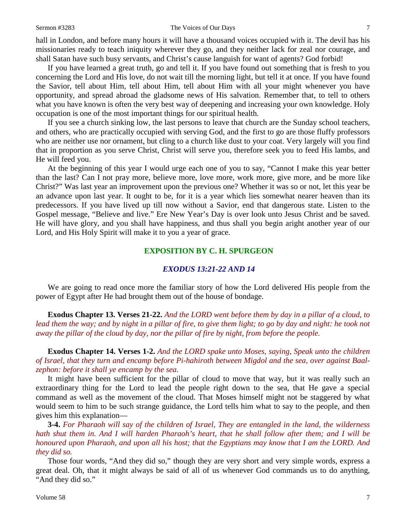#### Sermon #3283 The Voices of Our Days 7

hall in London, and before many hours it will have a thousand voices occupied with it. The devil has his missionaries ready to teach iniquity wherever they go, and they neither lack for zeal nor courage, and shall Satan have such busy servants, and Christ's cause languish for want of agents? God forbid!

If you have learned a great truth, go and tell it. If you have found out something that is fresh to you concerning the Lord and His love, do not wait till the morning light, but tell it at once. If you have found the Savior, tell about Him, tell about Him, tell about Him with all your might whenever you have opportunity, and spread abroad the gladsome news of His salvation. Remember that, to tell to others what you have known is often the very best way of deepening and increasing your own knowledge. Holy occupation is one of the most important things for our spiritual health.

If you see a church sinking low, the last persons to leave that church are the Sunday school teachers, and others, who are practically occupied with serving God, and the first to go are those fluffy professors who are neither use nor ornament, but cling to a church like dust to your coat. Very largely will you find that in proportion as you serve Christ, Christ will serve you, therefore seek you to feed His lambs, and He will feed you.

At the beginning of this year I would urge each one of you to say, "Cannot I make this year better than the last? Can I not pray more, believe more, love more, work more, give more, and be more like Christ?" Was last year an improvement upon the previous one? Whether it was so or not, let this year be an advance upon last year. It ought to be, for it is a year which lies somewhat nearer heaven than its predecessors. If you have lived up till now without a Savior, end that dangerous state. Listen to the Gospel message, "Believe and live." Ere New Year's Day is over look unto Jesus Christ and be saved. He will have glory, and you shall have happiness, and thus shall you begin aright another year of our Lord, and His Holy Spirit will make it to you a year of grace.

## **EXPOSITION BY C. H. SPURGEON**

## *EXODUS 13:21-22 AND 14*

We are going to read once more the familiar story of how the Lord delivered His people from the power of Egypt after He had brought them out of the house of bondage.

**Exodus Chapter 13. Verses 21-22.** *And the LORD went before them by day in a pillar of a cloud, to lead them the way; and by night in a pillar of fire, to give them light; to go by day and night: he took not away the pillar of the cloud by day, nor the pillar of fire by night, from before the people.*

**Exodus Chapter 14. Verses 1-2.** *And the LORD spake unto Moses, saying, Speak unto the children of Israel, that they turn and encamp before Pi-hahiroth between Migdol and the sea, over against Baalzephon: before it shall ye encamp by the sea.*

It might have been sufficient for the pillar of cloud to move that way, but it was really such an extraordinary thing for the Lord to lead the people right down to the sea, that He gave a special command as well as the movement of the cloud. That Moses himself might not be staggered by what would seem to him to be such strange guidance, the Lord tells him what to say to the people, and then gives him this explanation—

**3-4.** *For Pharaoh will say of the children of Israel, They are entangled in the land, the wilderness hath shut them in. And I will harden Pharaoh's heart, that he shall follow after them; and I will be honoured upon Pharaoh, and upon all his host; that the Egyptians may know that I am the LORD. And they did so.*

Those four words, "And they did so," though they are very short and very simple words, express a great deal. Oh, that it might always be said of all of us whenever God commands us to do anything, "And they did so."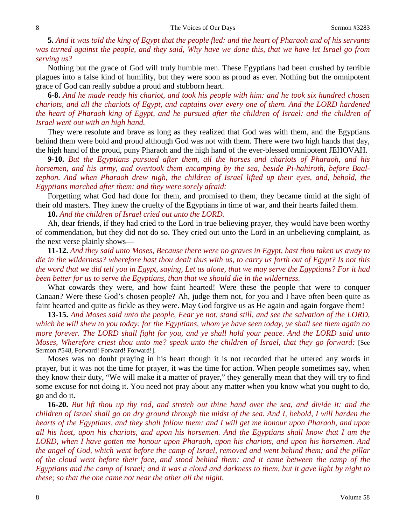**5.** *And it was told the king of Egypt that the people fled: and the heart of Pharaoh and of his servants was turned against the people, and they said, Why have we done this, that we have let Israel go from serving us?*

Nothing but the grace of God will truly humble men. These Egyptians had been crushed by terrible plagues into a false kind of humility, but they were soon as proud as ever. Nothing but the omnipotent grace of God can really subdue a proud and stubborn heart.

**6-8.** *And he made ready his chariot, and took his people with him: and he took six hundred chosen chariots, and all the chariots of Egypt, and captains over every one of them. And the LORD hardened the heart of Pharaoh king of Egypt, and he pursued after the children of Israel: and the children of Israel went out with an high hand.*

They were resolute and brave as long as they realized that God was with them, and the Egyptians behind them were bold and proud although God was not with them. There were two high hands that day, the high hand of the proud, puny Pharaoh and the high hand of the ever-blessed omnipotent JEHOVAH.

**9-10.** *But the Egyptians pursued after them, all the horses and chariots of Pharaoh, and his horsemen, and his army, and overtook them encamping by the sea, beside Pi-hahiroth, before Baalzephon. And when Pharaoh drew nigh, the children of Israel lifted up their eyes, and, behold, the Egyptians marched after them; and they were sorely afraid:*

Forgetting what God had done for them, and promised to them, they became timid at the sight of their old masters. They knew the cruelty of the Egyptians in time of war, and their hearts failed them.

**10.** *And the children of Israel cried out unto the LORD.* 

Ah, dear friends, if they had cried to the Lord in true believing prayer, they would have been worthy of commendation, but they did not do so. They cried out unto the Lord in an unbelieving complaint, as the next verse plainly shows—

**11-12.** *And they said unto Moses, Because there were no graves in Egypt, hast thou taken us away to die in the wilderness? wherefore hast thou dealt thus with us, to carry us forth out of Egypt? Is not this the word that we did tell you in Egypt, saying, Let us alone, that we may serve the Egyptians? For it had been better for us to serve the Egyptians, than that we should die in the wilderness.*

What cowards they were, and how faint hearted! Were these the people that were to conquer Canaan? Were these God's chosen people? Ah, judge them not, for you and I have often been quite as faint hearted and quite as fickle as they were. May God forgive us as He again and again forgave them!

**13-15.** *And Moses said unto the people, Fear ye not, stand still, and see the salvation of the LORD, which he will shew to you today: for the Egyptians, whom ye have seen today, ye shall see them again no more forever. The LORD shall fight for you, and ye shall hold your peace. And the LORD said unto Moses, Wherefore criest thou unto me? speak unto the children of Israel, that they go forward:* [See Sermon #548, Forward! Forward! Forward!].

Moses was no doubt praying in his heart though it is not recorded that he uttered any words in prayer, but it was not the time for prayer, it was the time for action. When people sometimes say, when they know their duty, "We will make it a matter of prayer," they generally mean that they will try to find some excuse for not doing it. You need not pray about any matter when you know what you ought to do, go and do it.

**16-20.** *But lift thou up thy rod, and stretch out thine hand over the sea, and divide it: and the children of Israel shall go on dry ground through the midst of the sea. And I, behold, I will harden the hearts of the Egyptians, and they shall follow them: and I will get me honour upon Pharaoh, and upon all his host, upon his chariots, and upon his horsemen. And the Egyptians shall know that I am the LORD, when I have gotten me honour upon Pharaoh, upon his chariots, and upon his horsemen. And the angel of God, which went before the camp of Israel, removed and went behind them; and the pillar of the cloud went before their face, and stood behind them: and it came between the camp of the Egyptians and the camp of Israel; and it was a cloud and darkness to them, but it gave light by night to these; so that the one came not near the other all the night.*